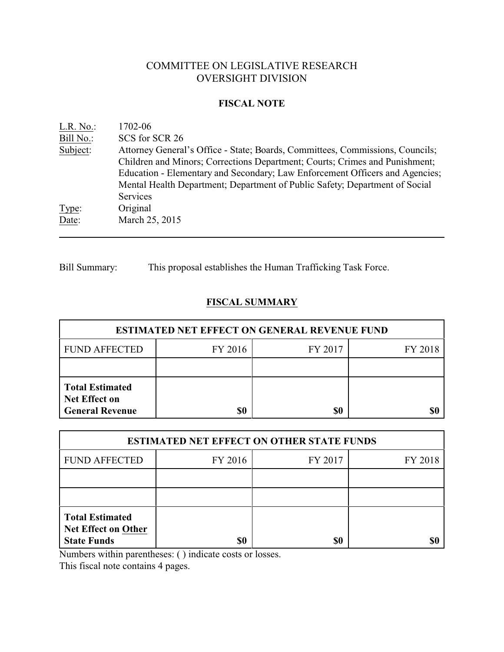# COMMITTEE ON LEGISLATIVE RESEARCH OVERSIGHT DIVISION

#### **FISCAL NOTE**

| $L.R. No.$ : | 1702-06                                                                                                                                                                 |
|--------------|-------------------------------------------------------------------------------------------------------------------------------------------------------------------------|
| Bill No.:    | SCS for SCR 26                                                                                                                                                          |
| Subject:     | Attorney General's Office - State; Boards, Committees, Commissions, Councils;<br>Children and Minors; Corrections Department; Courts; Crimes and Punishment;            |
|              | Education - Elementary and Secondary; Law Enforcement Officers and Agencies;<br>Mental Health Department; Department of Public Safety; Department of Social<br>Services |
| Type:        | Original                                                                                                                                                                |
| Date:        | March 25, 2015                                                                                                                                                          |

Bill Summary: This proposal establishes the Human Trafficking Task Force.

## **FISCAL SUMMARY**

| <b>ESTIMATED NET EFFECT ON GENERAL REVENUE FUND</b>               |         |         |         |  |
|-------------------------------------------------------------------|---------|---------|---------|--|
| <b>FUND AFFECTED</b>                                              | FY 2016 | FY 2017 | FY 2018 |  |
|                                                                   |         |         |         |  |
| <b>Total Estimated</b><br>Net Effect on<br><b>General Revenue</b> | \$0     | \$0     |         |  |

| <b>ESTIMATED NET EFFECT ON OTHER STATE FUNDS</b>                           |         |         |         |  |
|----------------------------------------------------------------------------|---------|---------|---------|--|
| <b>FUND AFFECTED</b>                                                       | FY 2016 | FY 2017 | FY 2018 |  |
|                                                                            |         |         |         |  |
|                                                                            |         |         |         |  |
| <b>Total Estimated</b><br><b>Net Effect on Other</b><br><b>State Funds</b> |         | \$0     |         |  |

Numbers within parentheses: ( ) indicate costs or losses.

This fiscal note contains 4 pages.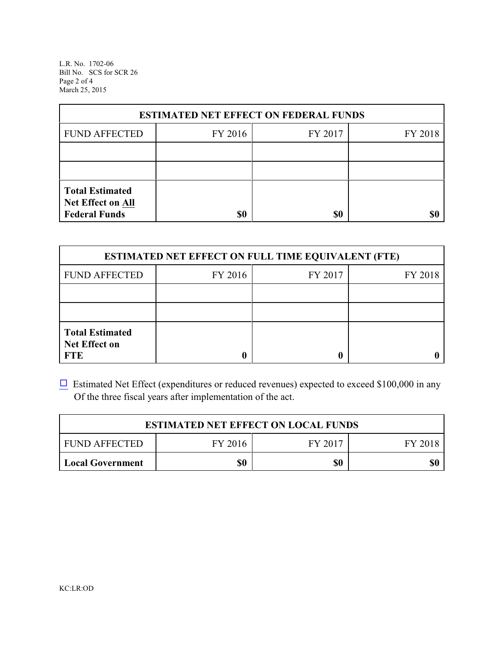L.R. No. 1702-06 Bill No. SCS for SCR 26 Page 2 of 4 March 25, 2015

| <b>ESTIMATED NET EFFECT ON FEDERAL FUNDS</b>                        |         |         |         |  |
|---------------------------------------------------------------------|---------|---------|---------|--|
| <b>FUND AFFECTED</b>                                                | FY 2016 | FY 2017 | FY 2018 |  |
|                                                                     |         |         |         |  |
|                                                                     |         |         |         |  |
| <b>Total Estimated</b><br>Net Effect on All<br><b>Federal Funds</b> | \$0     | \$0     |         |  |

| <b>ESTIMATED NET EFFECT ON FULL TIME EQUIVALENT (FTE)</b>    |         |         |         |  |
|--------------------------------------------------------------|---------|---------|---------|--|
| <b>FUND AFFECTED</b>                                         | FY 2016 | FY 2017 | FY 2018 |  |
|                                                              |         |         |         |  |
|                                                              |         |         |         |  |
| <b>Total Estimated</b><br><b>Net Effect on</b><br><b>FTE</b> |         |         |         |  |

 $\Box$  Estimated Net Effect (expenditures or reduced revenues) expected to exceed \$100,000 in any Of the three fiscal years after implementation of the act.

| <b>ESTIMATED NET EFFECT ON LOCAL FUNDS</b> |         |         |         |
|--------------------------------------------|---------|---------|---------|
| <b>FUND AFFECTED</b>                       | FY 2016 | FY 2017 | FY 2018 |
| Local Government                           | \$0     | \$0     | \$0     |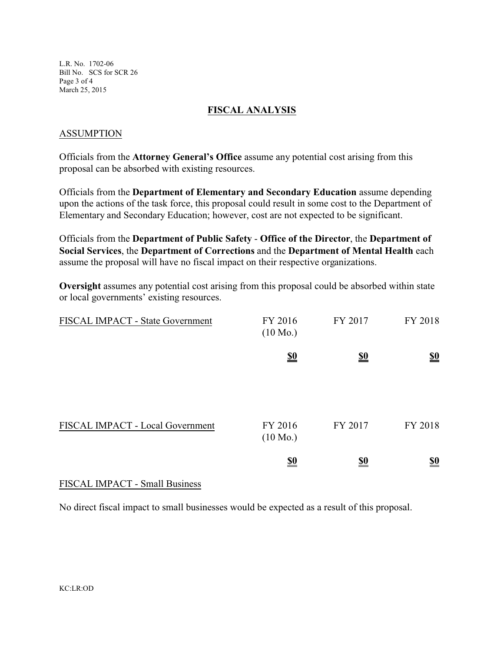L.R. No. 1702-06 Bill No. SCS for SCR 26 Page 3 of 4 March 25, 2015

### **FISCAL ANALYSIS**

### ASSUMPTION

Officials from the **Attorney General's Office** assume any potential cost arising from this proposal can be absorbed with existing resources.

Officials from the **Department of Elementary and Secondary Education** assume depending upon the actions of the task force, this proposal could result in some cost to the Department of Elementary and Secondary Education; however, cost are not expected to be significant.

Officials from the **Department of Public Safety** - **Office of the Director**, the **Department of Social Services**, the **Department of Corrections** and the **Department of Mental Health** each assume the proposal will have no fiscal impact on their respective organizations.

**Oversight** assumes any potential cost arising from this proposal could be absorbed within state or local governments' existing resources.

| FISCAL IMPACT - State Government | FY 2016<br>$(10 \text{ Mo.})$ | FY 2017    | FY 2018                       |
|----------------------------------|-------------------------------|------------|-------------------------------|
|                                  | $\underline{\underline{\$0}}$ | <u>\$0</u> | $\underline{\underline{\$0}}$ |
| FISCAL IMPACT - Local Government | FY 2016<br>$(10 \text{ Mo.})$ | FY 2017    | FY 2018                       |
|                                  | $\underline{\underline{\$0}}$ | <u>so</u>  | $\underline{\$0}$             |

## FISCAL IMPACT - Small Business

No direct fiscal impact to small businesses would be expected as a result of this proposal.